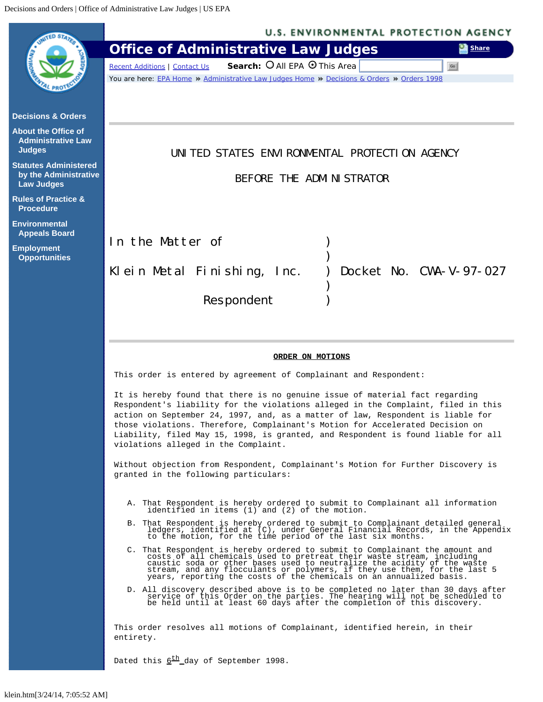<span id="page-0-0"></span>